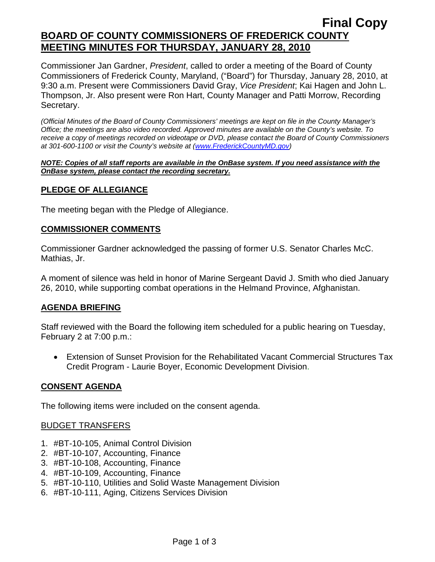# **Final Copy BOARD OF COUNTY COMMISSIONERS OF FREDERICK COUNTY MEETING MINUTES FOR THURSDAY, JANUARY 28, 2010**

Commissioner Jan Gardner, *President*, called to order a meeting of the Board of County Commissioners of Frederick County, Maryland, ("Board") for Thursday, January 28, 2010, at 9:30 a.m. Present were Commissioners David Gray, *Vice President*; Kai Hagen and John L. Thompson, Jr. Also present were Ron Hart, County Manager and Patti Morrow, Recording Secretary.

*(Official Minutes of the Board of County Commissioners' meetings are kept on file in the County Manager's Office; the meetings are also video recorded. Approved minutes are available on the County's website. To receive a copy of meetings recorded on videotape or DVD, please contact the Board of County Commissioners at 301-600-1100 or visit the County's website at ([www.FrederickCountyMD.gov](http://www.frederickcountymd.gov/))* 

#### *NOTE: Copies of all staff reports are available in the OnBase system. If you need assistance with the OnBase system, please contact the recording secretary.*

## **PLEDGE OF ALLEGIANCE**

The meeting began with the Pledge of Allegiance.

### **COMMISSIONER COMMENTS**

Commissioner Gardner acknowledged the passing of former U.S. Senator Charles McC. Mathias, Jr.

A moment of silence was held in honor of Marine Sergeant David J. Smith who died January 26, 2010, while supporting combat operations in the Helmand Province, Afghanistan.

## **AGENDA BRIEFING**

Staff reviewed with the Board the following item scheduled for a public hearing on Tuesday, February 2 at 7:00 p.m.:

• Extension of Sunset Provision for the Rehabilitated Vacant Commercial Structures Tax Credit Program - Laurie Boyer, Economic Development Division.

### **CONSENT AGENDA**

The following items were included on the consent agenda.

### BUDGET TRANSFERS

- 1. #BT-10-105, Animal Control Division
- 2. #BT-10-107, Accounting, Finance
- 3. #BT-10-108, Accounting, Finance
- 4. #BT-10-109, Accounting, Finance
- 5. #BT-10-110, Utilities and Solid Waste Management Division
- 6. #BT-10-111, Aging, Citizens Services Division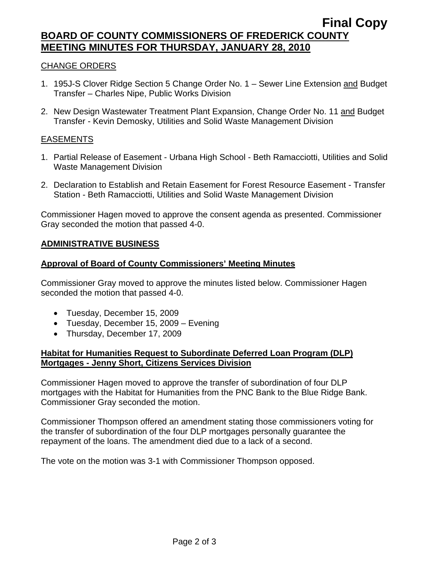## **Final Copy BOARD OF COUNTY COMMISSIONERS OF FREDERICK COUNTY MEETING MINUTES FOR THURSDAY, JANUARY 28, 2010**

### CHANGE ORDERS

- 1. 195J-S Clover Ridge Section 5 Change Order No. 1 Sewer Line Extension and Budget Transfer – Charles Nipe, Public Works Division
- 2. New Design Wastewater Treatment Plant Expansion, Change Order No. 11 and Budget Transfer - Kevin Demosky, Utilities and Solid Waste Management Division

#### EASEMENTS

- 1. Partial Release of Easement Urbana High School Beth Ramacciotti, Utilities and Solid Waste Management Division
- 2. Declaration to Establish and Retain Easement for Forest Resource Easement Transfer Station - Beth Ramacciotti, Utilities and Solid Waste Management Division

Commissioner Hagen moved to approve the consent agenda as presented. Commissioner Gray seconded the motion that passed 4-0.

#### **ADMINISTRATIVE BUSINESS**

#### **Approval of Board of County Commissioners' Meeting Minutes**

Commissioner Gray moved to approve the minutes listed below. Commissioner Hagen seconded the motion that passed 4-0.

- Tuesday, December 15, 2009
- Tuesday, December 15, 2009 Evening
- Thursday, December 17, 2009

### **Habitat for Humanities Request to Subordinate Deferred Loan Program (DLP) Mortgages - Jenny Short, Citizens Services Division**

Commissioner Hagen moved to approve the transfer of subordination of four DLP mortgages with the Habitat for Humanities from the PNC Bank to the Blue Ridge Bank. Commissioner Gray seconded the motion.

Commissioner Thompson offered an amendment stating those commissioners voting for the transfer of subordination of the four DLP mortgages personally guarantee the repayment of the loans. The amendment died due to a lack of a second.

The vote on the motion was 3-1 with Commissioner Thompson opposed.